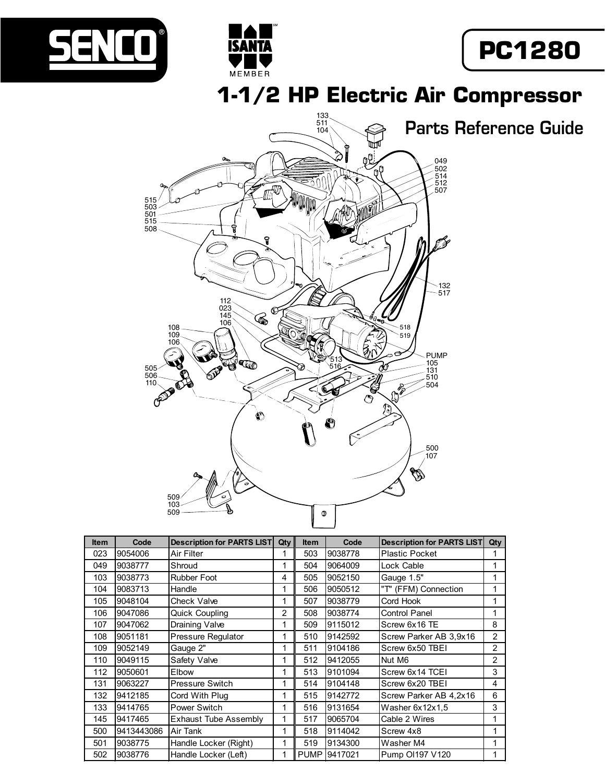



**1-1/2 HP Electric Air Compressor**



ISANTA

MEMBER

| <b>Item</b> | Code       | <b>Description for PARTS LIST</b> | Qty | <b>Item</b> | Code    | <b>Description for PARTS LIST</b> | Qty            |
|-------------|------------|-----------------------------------|-----|-------------|---------|-----------------------------------|----------------|
| 023         | 9054006    | Air Filter                        |     | 503         | 9038778 | <b>Plastic Pocket</b>             | 1              |
| 049         | 9038777    | Shroud                            |     | 504         | 9064009 | Lock Cable                        | 1              |
| 103         | 9038773    | <b>Rubber Foot</b>                | 4   | 505         | 9052150 | Gauge 1.5"                        | 1              |
| 104         | 9083713    | Handle                            |     | 506         | 9050512 | "T" (FFM) Connection              | 1              |
| 105         | 9048104    | Check Valve                       | 1   | 507         | 9038779 | Cord Hook                         | 1              |
| 106         | 9047086    | Quick Coupling                    | 2   | 508         | 9038774 | Control Panel                     | 1              |
| 107         | 9047062    | Draining Valve                    | 1   | 509         | 9115012 | Screw 6x16 TE                     | 8              |
| 108         | 9051181    | Pressure Regulator                | 1   | 510         | 9142592 | Screw Parker AB 3,9x16            | $\overline{2}$ |
| 109         | 9052149    | Gauge 2"                          | 1   | 511         | 9104186 | Screw 6x50 TBEI                   | $\overline{2}$ |
| 110         | 9049115    | Safety Valve                      | 1   | 512         | 9412055 | Nut M6                            | 2              |
| 112         | 9050601    | Elbow                             | 1   | 513         | 9101094 | Screw 6x14 TCEI                   | 3              |
| 131         | 9063227    | <b>Pressure Switch</b>            | 1   | 514         | 9104148 | Screw 6x20 TBEI                   | 4              |
| 132         | 9412185    | Cord With Plug                    | 1   | 515         | 9142772 | Screw Parker AB 4,2x16            | 6              |
| 133         | 9414765    | Power Switch                      | 1   | 516         | 9131654 | Washer 6x12x1,5                   | 3              |
| 145         | 9417465    | Exhaust Tube Assembly             |     | 517         | 9065704 | Cable 2 Wires                     | 1              |
| 500         | 9413443086 | Air Tank                          |     | 518         | 9114042 | Screw 4x8                         | 1              |
| 501         | 9038775    | Handle Locker (Right)             |     | 519         | 9134300 | Washer M4                         | 1              |
| 502         | 9038776    | Handle Locker (Left)              |     | <b>PUMP</b> | 9417021 | Pump OI197 V120                   | 1              |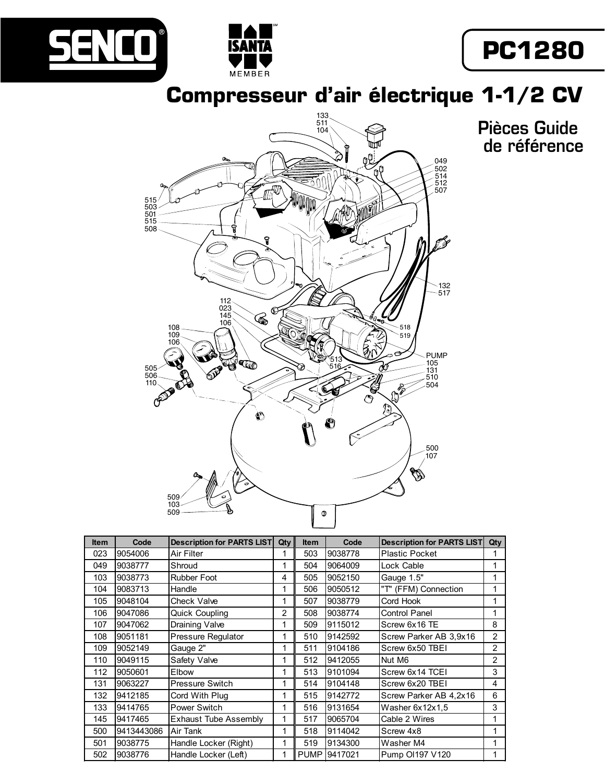



## **PC1280**

**Compresseur d'air électrique 1-1/2 CV**



| <b>Item</b> | Code       | <b>Description for PARTS LIST</b> | Qty | <b>Item</b> | Code         | <b>Description for PARTS LIST</b> | Qty |
|-------------|------------|-----------------------------------|-----|-------------|--------------|-----------------------------------|-----|
| 023         | 9054006    | Air Filter                        |     | 503         | 9038778      | <b>Plastic Pocket</b>             |     |
| 049         | 9038777    | Shroud                            | 1   | 504         | 9064009      | Lock Cable                        | 1   |
| 103         | 9038773    | <b>Rubber Foot</b>                | 4   | 505         | 9052150      | Gauge 1.5"                        | 1   |
| 104         | 9083713    | Handle                            | 1   | 506         | 9050512      | "T" (FFM) Connection              | 1   |
| 105         | 9048104    | Check Valve                       | 1   | 507         | 9038779      | Cord Hook                         | 1   |
| 106         | 9047086    | <b>Quick Coupling</b>             | 2   | 508         | 9038774      | <b>Control Panel</b>              | 1   |
| 107         | 9047062    | Draining Valve                    | 1   | 509         | 9115012      | Screw 6x16 TE                     | 8   |
| 108         | 9051181    | Pressure Regulator                | 1   | 510         | 9142592      | Screw Parker AB 3,9x16            | 2   |
| 109         | 9052149    | Gauge 2"                          | 1   | 511         | 9104186      | Screw 6x50 TBEI                   | 2   |
| 110         | 9049115    | Safety Valve                      | 1   | 512         | 9412055      | Nut M6                            | 2   |
| 112         | 9050601    | Elbow                             | 1   | 513         | 9101094      | Screw 6x14 TCEI                   | 3   |
| 131         | 9063227    | Pressure Switch                   | 1   | 514         | 9104148      | Screw 6x20 TBEI                   | 4   |
| 132         | 9412185    | Cord With Plug                    | 1   | 515         | 9142772      | Screw Parker AB 4,2x16            | 6   |
| 133         | 9414765    | Power Switch                      | 1   | 516         | 9131654      | Washer 6x12x1,5                   | 3   |
| 145         | 9417465    | Exhaust Tube Assembly             | 1   | 517         | 9065704      | Cable 2 Wires                     | 1   |
| 500         | 9413443086 | Air Tank                          |     | 518         | 9114042      | Screw 4x8                         |     |
| 501         | 9038775    | Handle Locker (Right)             | 1   | 519         | 9134300      | Washer M4                         |     |
| 502         | 9038776    | Handle Locker (Left)              |     |             | PUMP 9417021 | Pump OI197 V120                   |     |

Pièces Guide de référence